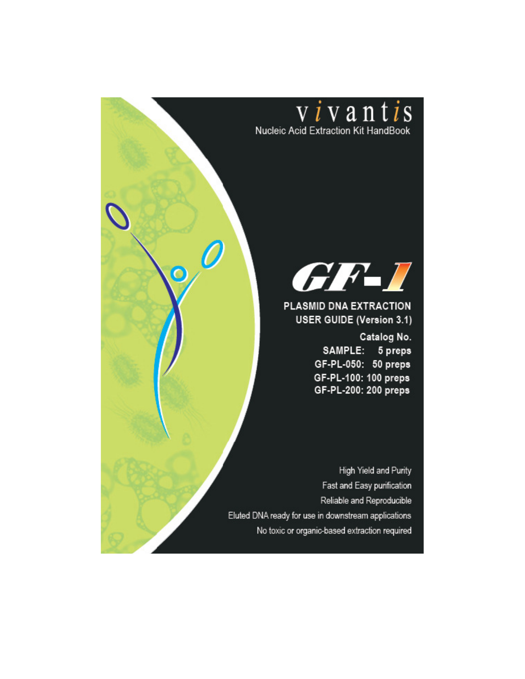



PLASMID DNA EXTRACTION **USER GUIDE (Version 3.1)** 

> Catalog No. SAMPLE: 5 preps GF-PL-050: 50 preps GF-PL-100: 100 preps GF-PL-200: 200 preps

High Yield and Purity Fast and Easy purification Reliable and Reproducible Eluted DNA ready for use in downstream applications No toxic or organic-based extraction required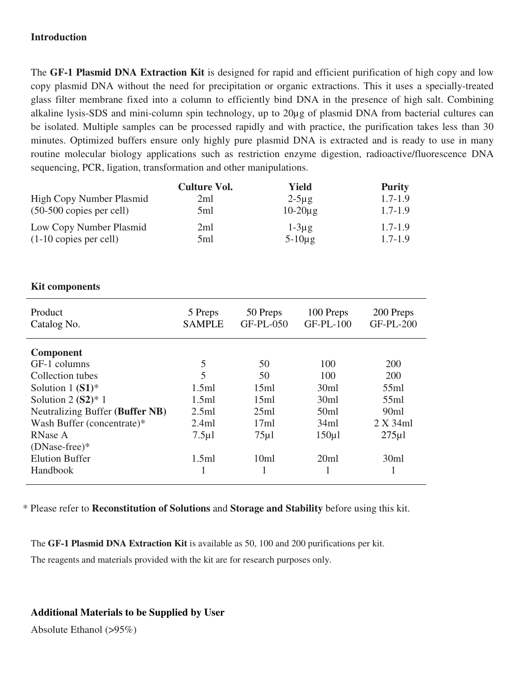#### **Introduction**

The **GF-1 Plasmid DNA Extraction Kit** is designed for rapid and efficient purification of high copy and low copy plasmid DNA without the need for precipitation or organic extractions. This it uses a specially-treated glass filter membrane fixed into a column to efficiently bind DNA in the presence of high salt. Combining alkaline lysis-SDS and mini-column spin technology, up to 20µg of plasmid DNA from bacterial cultures can be isolated. Multiple samples can be processed rapidly and with practice, the purification takes less than 30 minutes. Optimized buffers ensure only highly pure plasmid DNA is extracted and is ready to use in many routine molecular biology applications such as restriction enzyme digestion, radioactive/fluorescence DNA sequencing, PCR, ligation, transformation and other manipulations.

|                                    | <b>Culture Vol.</b> | Yield        | <b>Purity</b> |
|------------------------------------|---------------------|--------------|---------------|
| High Copy Number Plasmid           | 2ml                 | $2-5\mu g$   | $1.7 - 1.9$   |
| $(50-500 \text{ copies per cell})$ | 5ml                 | $10-20\mu$ g | $1.7 - 1.9$   |
| Low Copy Number Plasmid            | 2ml                 | $1-3\mu g$   | $1.7 - 1.9$   |
| $(1-10$ copies per cell)           | 5ml                 | $5-10\mu$ g  | $1.7 - 1.9$   |

#### **Kit components**

| Product<br>Catalog No.                                                                                                                                                                             | 5 Preps<br><b>SAMPLE</b>                                  | 50 Preps<br>GF-PL-050                               | 100 Preps<br><b>GF-PL-100</b>                             | 200 Preps<br><b>GF-PL-200</b>                                           |
|----------------------------------------------------------------------------------------------------------------------------------------------------------------------------------------------------|-----------------------------------------------------------|-----------------------------------------------------|-----------------------------------------------------------|-------------------------------------------------------------------------|
| <b>Component</b><br>GF-1 columns<br>Collection tubes<br>Solution $1(S1)^*$<br>Solution $2 (S2)^* 1$<br>Neutralizing Buffer (Buffer NB)<br>Wash Buffer (concentrate)*<br>RNase A<br>$(DNase-free)*$ | 5<br>5<br>1.5ml<br>1.5ml<br>2.5ml<br>2.4ml<br>$7.5 \mu$ l | 50<br>50<br>15ml<br>15ml<br>25ml<br>17ml<br>$75\mu$ | 100<br>100<br>30ml<br>30ml<br>50ml<br>34ml<br>$150 \mu l$ | 200<br>200<br>55ml<br>55ml<br>90 <sub>ml</sub><br>2 X 34ml<br>$275 \mu$ |
| <b>Elution Buffer</b><br>Handbook                                                                                                                                                                  | 1.5ml                                                     | 10ml                                                | 20ml                                                      | 30ml                                                                    |

\* Please refer to **Reconstitution of Solutions** and **Storage and Stability** before using this kit.

The **GF-1 Plasmid DNA Extraction Kit** is available as 50, 100 and 200 purifications per kit.

The reagents and materials provided with the kit are for research purposes only.

**Additional Materials to be Supplied by User** 

Absolute Ethanol (>95%)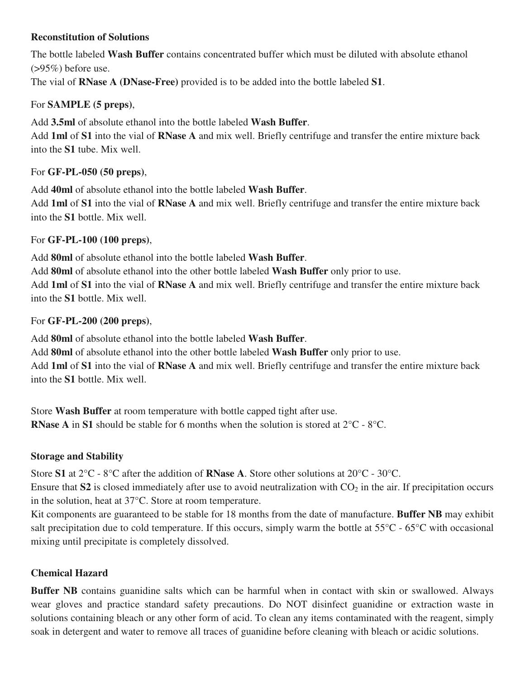## **Reconstitution of Solutions**

The bottle labeled **Wash Buffer** contains concentrated buffer which must be diluted with absolute ethanol  $(>95\%)$  before use.

The vial of **RNase A (DNase-Free)** provided is to be added into the bottle labeled **S1**.

# For **SAMPLE (5 preps)**,

Add **3.5ml** of absolute ethanol into the bottle labeled **Wash Buffer**.

Add **1ml** of **S1** into the vial of **RNase A** and mix well. Briefly centrifuge and transfer the entire mixture back into the **S1** tube. Mix well.

## For **GF-PL-050 (50 preps)**,

Add **40ml** of absolute ethanol into the bottle labeled **Wash Buffer**.

Add **1ml** of **S1** into the vial of **RNase A** and mix well. Briefly centrifuge and transfer the entire mixture back into the **S1** bottle. Mix well.

## For **GF-PL-100 (100 preps)**,

Add **80ml** of absolute ethanol into the bottle labeled **Wash Buffer**.

Add **80ml** of absolute ethanol into the other bottle labeled **Wash Buffer** only prior to use. Add **1ml** of **S1** into the vial of **RNase A** and mix well. Briefly centrifuge and transfer the entire mixture back into the **S1** bottle. Mix well.

## For **GF-PL-200 (200 preps)**,

Add **80ml** of absolute ethanol into the bottle labeled **Wash Buffer**.

Add **80ml** of absolute ethanol into the other bottle labeled **Wash Buffer** only prior to use.

Add **1ml** of **S1** into the vial of **RNase A** and mix well. Briefly centrifuge and transfer the entire mixture back into the **S1** bottle. Mix well.

Store **Wash Buffer** at room temperature with bottle capped tight after use. **RNase A** in **S1** should be stable for 6 months when the solution is stored at 2°C - 8°C.

# **Storage and Stability**

Store **S1** at 2°C - 8°C after the addition of **RNase A**. Store other solutions at 20°C - 30°C.

Ensure that  $S2$  is closed immediately after use to avoid neutralization with  $CO<sub>2</sub>$  in the air. If precipitation occurs in the solution, heat at 37°C. Store at room temperature.

Kit components are guaranteed to be stable for 18 months from the date of manufacture. **Buffer NB** may exhibit salt precipitation due to cold temperature. If this occurs, simply warm the bottle at 55°C - 65°C with occasional mixing until precipitate is completely dissolved.

# **Chemical Hazard**

**Buffer NB** contains guanidine salts which can be harmful when in contact with skin or swallowed. Always wear gloves and practice standard safety precautions. Do NOT disinfect guanidine or extraction waste in solutions containing bleach or any other form of acid. To clean any items contaminated with the reagent, simply soak in detergent and water to remove all traces of guanidine before cleaning with bleach or acidic solutions.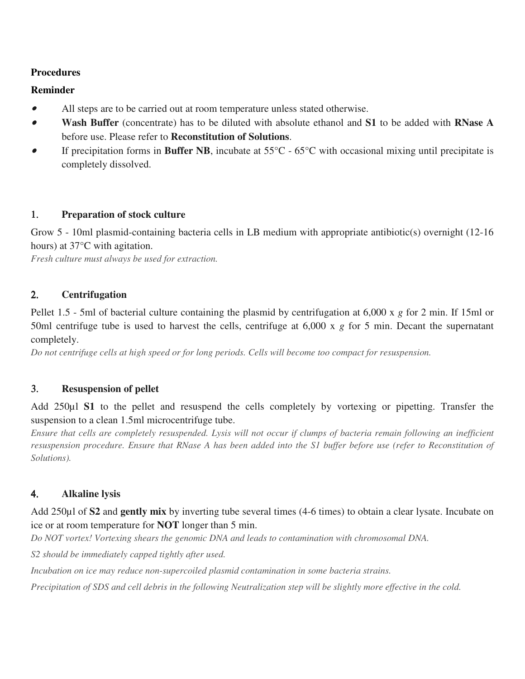## **Procedures**

#### **Reminder**

- •All steps are to be carried out at room temperature unless stated otherwise.
- • **Wash Buffer** (concentrate) has to be diluted with absolute ethanol and **S1** to be added with **RNase A**  before use. Please refer to **Reconstitution of Solutions**.
- • If precipitation forms in **Buffer NB**, incubate at 55°C - 65°C with occasional mixing until precipitate is completely dissolved.

#### 1. **Preparation of stock culture**

Grow 5 - 10ml plasmid-containing bacteria cells in LB medium with appropriate antibiotic(s) overnight (12-16 hours) at 37°C with agitation.

*Fresh culture must always be used for extraction.* 

#### 2. **Centrifugation**

Pellet 1.5 - 5ml of bacterial culture containing the plasmid by centrifugation at 6,000 x *g* for 2 min. If 15ml or 50ml centrifuge tube is used to harvest the cells, centrifuge at 6,000 x *g* for 5 min. Decant the supernatant completely.

*Do not centrifuge cells at high speed or for long periods. Cells will become too compact for resuspension.* 

#### 3. **Resuspension of pellet**

Add 250µl **S1** to the pellet and resuspend the cells completely by vortexing or pipetting. Transfer the suspension to a clean 1.5ml microcentrifuge tube.

*Ensure that cells are completely resuspended. Lysis will not occur if clumps of bacteria remain following an inefficient resuspension procedure. Ensure that RNase A has been added into the S1 buffer before use (refer to Reconstitution of Solutions).* 

#### 4. **Alkaline lysis**

Add 250µl of **S2** and **gently mix** by inverting tube several times (4-6 times) to obtain a clear lysate. Incubate on ice or at room temperature for **NOT** longer than 5 min.

*Do NOT vortex! Vortexing shears the genomic DNA and leads to contamination with chromosomal DNA.* 

*S2 should be immediately capped tightly after used.*

*Incubation on ice may reduce non-supercoiled plasmid contamination in some bacteria strains.* 

*Precipitation of SDS and cell debris in the following Neutralization step will be slightly more effective in the cold.*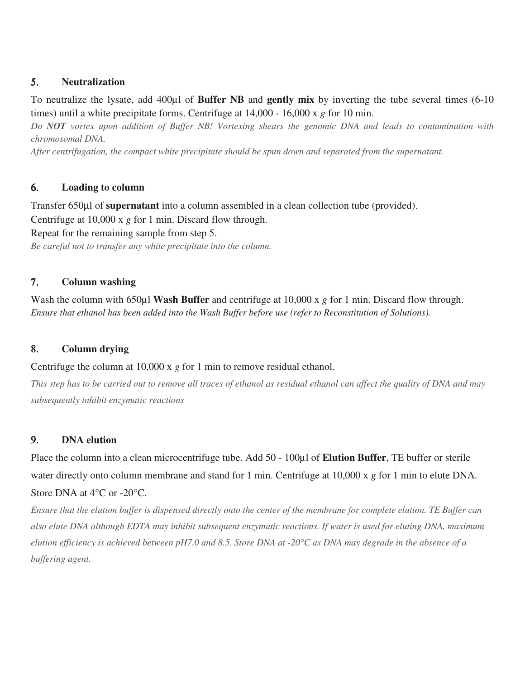#### 5. **Neutralization**

 To neutralize the lysate, add 400µl of **Buffer NB** and **gently mix** by inverting the tube several times (6-10 times) until a white precipitate forms. Centrifuge at 14,000 - 16,000 x *g* for 10 min.

 *Do NOT vortex upon addition of Buffer NB! Vortexing shears the genomic DNA and leads to contamination with chromosomal DNA.* 

 *After centrifugation, the compact white precipitate should be spun down and separated from the supernatant.* 

#### 6. **Loading to column**

Transfer 650µl of **supernatant** into a column assembled in a clean collection tube (provided). Centrifuge at 10,000 x *g* for 1 min. Discard flow through. Repeat for the remaining sample from step 5. *Be careful not to transfer any white precipitate into the column.* 

## 7. **Column washing**

Wash the column with 650µl **Wash Buffer** and centrifuge at 10,000 x *g* for 1 min. Discard flow through. *Ensure that ethanol has been added into the Wash Buffer before use (refer to Reconstitution of Solutions).* 

#### 8. **Column drying**

Centrifuge the column at 10,000 x *g* for 1 min to remove residual ethanol.

*This step has to be carried out to remove all traces of ethanol as residual ethanol can affect the quality of DNA and may subsequently inhibit enzymatic reactions* 

# 9. **DNA elution**

Place the column into a clean microcentrifuge tube. Add 50 - 100µl of **Elution Buffer**, TE buffer or sterile water directly onto column membrane and stand for 1 min. Centrifuge at 10,000 x *g* for 1 min to elute DNA. Store DNA at 4°C or -20°C.

*Ensure that the elution buffer is dispensed directly onto the center of the membrane for complete elution. TE Buffer can also elute DNA although EDTA may inhibit subsequent enzymatic reactions. If water is used for eluting DNA, maximum elution efficiency is achieved between pH7.0 and 8.5. Store DNA at -20°C as DNA may degrade in the absence of a buffering agent.*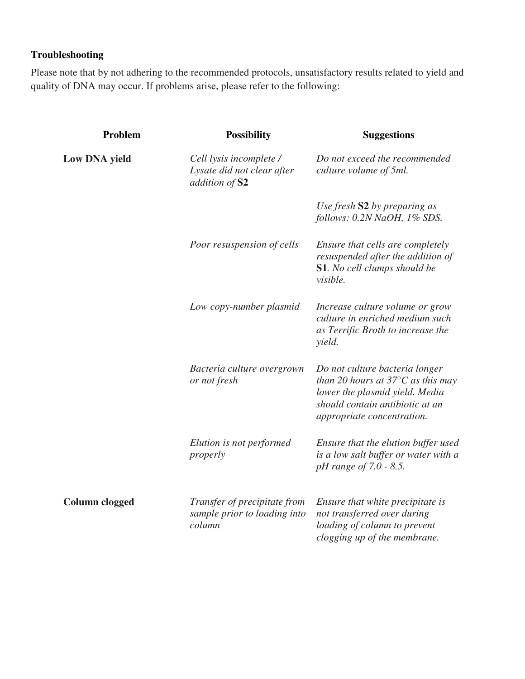# **Troubleshooting**

Please note that by not adhering to the recommended protocols, unsatisfactory results related to yield and quality of DNA may occur. If problems arise, please refer to the following:

| Problem               | <b>Possibility</b>                                                      | <b>Suggestions</b>                                                                                                                                                               |
|-----------------------|-------------------------------------------------------------------------|----------------------------------------------------------------------------------------------------------------------------------------------------------------------------------|
| Low DNA yield         | Cell lysis incomplete /<br>Lysate did not clear after<br>addition of S2 | Do not exceed the recommended<br>culture volume of 5ml.                                                                                                                          |
|                       |                                                                         | Use fresh S2 by preparing as<br>follows: 0.2N NaOH, 1% SDS.                                                                                                                      |
|                       | Poor resuspension of cells                                              | Ensure that cells are completely<br>resuspended after the addition of<br><b>S1.</b> No cell clumps should be<br>visible.                                                         |
|                       | Low copy-number plasmid                                                 | Increase culture volume or grow<br>culture in enriched medium such<br>as Terrific Broth to increase the<br>yield.                                                                |
|                       | Bacteria culture overgrown<br>or not fresh                              | Do not culture bacteria longer<br>than 20 hours at $37^{\circ}$ C as this may<br>lower the plasmid yield. Media<br>should contain antibiotic at an<br>appropriate concentration. |
|                       | Elution is not performed<br>properly                                    | Ensure that the elution buffer used<br>is a low salt buffer or water with a<br><i>pH</i> range of 7.0 - 8.5.                                                                     |
| <b>Column clogged</b> | Transfer of precipitate from<br>sample prior to loading into<br>column  | Ensure that white precipitate is<br>not transferred over during<br>loading of column to prevent<br>clogging up of the membrane.                                                  |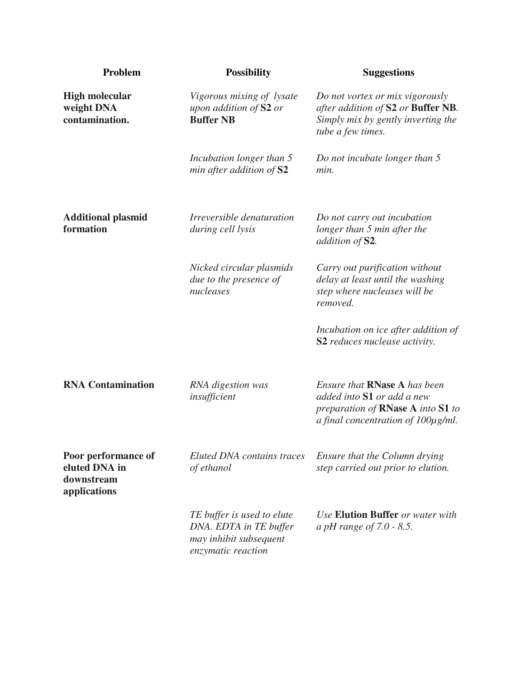| Problem                                                            | <b>Possibility</b>                                                                                   | <b>Suggestions</b>                                                                                                                                |
|--------------------------------------------------------------------|------------------------------------------------------------------------------------------------------|---------------------------------------------------------------------------------------------------------------------------------------------------|
| <b>High molecular</b><br>weight DNA<br>contamination.              | Vigorous mixing of lysate<br>upon addition of S2 or<br><b>Buffer NB</b>                              | Do not vortex or mix vigorously<br>after addition of S2 or Buffer NB.<br>Simply mix by gently inverting the<br>tube a few times.                  |
|                                                                    | Incubation longer than 5<br>min after addition of S2                                                 | Do not incubate longer than 5<br>min.                                                                                                             |
| <b>Additional plasmid</b><br>formation                             | <i><u><b>Irreversible denaturation</b></u></i><br>during cell lysis                                  | Do not carry out incubation<br>longer than 5 min after the<br>addition of S2.                                                                     |
|                                                                    | Nicked circular plasmids<br>due to the presence of<br>nucleases                                      | Carry out purification without<br>delay at least until the washing<br>step where nucleases will be<br>removed.                                    |
|                                                                    |                                                                                                      | Incubation on ice after addition of<br>S2 reduces nuclease activity.                                                                              |
| <b>RNA Contamination</b>                                           | RNA digestion was<br>insufficient                                                                    | Ensure that <b>RNase A</b> has been<br>added into S1 or add a new<br>preparation of RNase A into S1 to<br>a final concentration of $100\mu$ g/ml. |
| Poor performance of<br>eluted DNA in<br>downstream<br>applications | <b>Eluted DNA</b> contains traces<br>of ethanol                                                      | Ensure that the Column drying<br>step carried out prior to elution.                                                                               |
|                                                                    | TE buffer is used to elute<br>DNA. EDTA in TE buffer<br>may inhibit subsequent<br>enzymatic reaction | Use Elution Buffer or water with<br>a pH range of $7.0 - 8.5$ .                                                                                   |